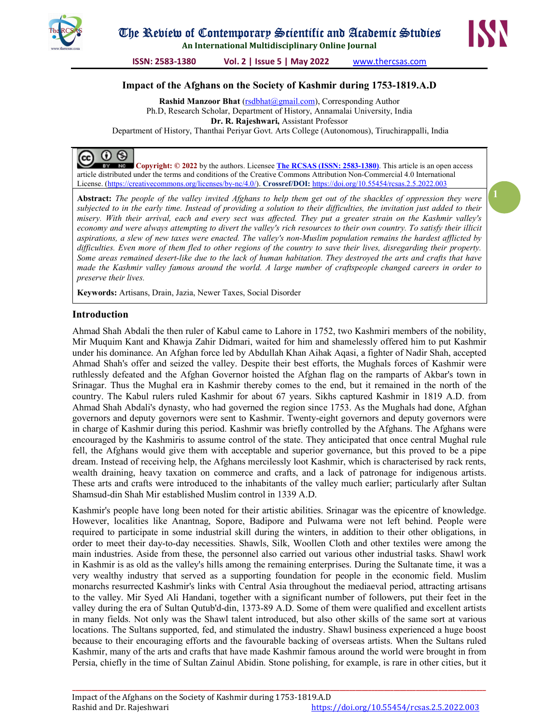

### The Review of Contemporary Scientific and Academic Studies

An International Multidisciplinary Online Journal

ISSN: 2583-1380 Vol. 2 | Issue 5 | May 2022 www.thercsas.com

### Impact of the Afghans on the Society of Kashmir during 1753-1819.A.D

Rashid Manzoor Bhat (rsdbhat@gmail.com), Corresponding Author Ph.D, Research Scholar, Department of History, Annamalai University, India Dr. R. Rajeshwari, Assistant Professor Department of History, Thanthai Periyar Govt. Arts College (Autonomous), Tiruchirappalli, India

#### $\bm{\mathrm{o}}$   $\bm{\mathrm{o}}$ (cc

Copyright:  $© 2022$  by the authors. Licensee The RCSAS (ISSN: 2583-1380). This article is an open access article distributed under the terms and conditions of the Creative Commons Attribution Non-Commercial 4.0 International License. (https://creativecommons.org/licenses/by-nc/4.0/). Crossref/DOI: https://doi.org/10.55454/rcsas.2.5.2022.003

Abstract: The people of the valley invited Afghans to help them get out of the shackles of oppression they were subjected to in the early time. Instead of providing a solution to their difficulties, the invitation just added to their misery. With their arrival, each and every sect was affected. They put a greater strain on the Kashmir valley's economy and were always attempting to divert the valley's rich resources to their own country. To satisfy their illicit aspirations, a slew of new taxes were enacted. The valley's non-Muslim population remains the hardest afflicted by difficulties. Even more of them fled to other regions of the country to save their lives, disregarding their property. Some areas remained desert-like due to the lack of human habitation. They destroyed the arts and crafts that have made the Kashmir valley famous around the world. A large number of craftspeople changed careers in order to preserve their lives.

Keywords: Artisans, Drain, Jazia, Newer Taxes, Social Disorder

### Introduction

Ahmad Shah Abdali the then ruler of Kabul came to Lahore in 1752, two Kashmiri members of the nobility, Mir Muquim Kant and Khawja Zahir Didmari, waited for him and shamelessly offered him to put Kashmir under his dominance. An Afghan force led by Abdullah Khan Aihak Aqasi, a fighter of Nadir Shah, accepted Ahmad Shah's offer and seized the valley. Despite their best efforts, the Mughals forces of Kashmir were ruthlessly defeated and the Afghan Governor hoisted the Afghan flag on the ramparts of Akbar's town in Srinagar. Thus the Mughal era in Kashmir thereby comes to the end, but it remained in the north of the country. The Kabul rulers ruled Kashmir for about 67 years. Sikhs captured Kashmir in 1819 A.D. from Ahmad Shah Abdali's dynasty, who had governed the region since 1753. As the Mughals had done, Afghan governors and deputy governors were sent to Kashmir. Twenty-eight governors and deputy governors were in charge of Kashmir during this period. Kashmir was briefly controlled by the Afghans. The Afghans were encouraged by the Kashmiris to assume control of the state. They anticipated that once central Mughal rule fell, the Afghans would give them with acceptable and superior governance, but this proved to be a pipe dream. Instead of receiving help, the Afghans mercilessly loot Kashmir, which is characterised by rack rents, wealth draining, heavy taxation on commerce and crafts, and a lack of patronage for indigenous artists. These arts and crafts were introduced to the inhabitants of the valley much earlier; particularly after Sultan Shamsud-din Shah Mir established Muslim control in 1339 A.D.

Kashmir's people have long been noted for their artistic abilities. Srinagar was the epicentre of knowledge. However, localities like Anantnag, Sopore, Badipore and Pulwama were not left behind. People were required to participate in some industrial skill during the winters, in addition to their other obligations, in order to meet their day-to-day necessities. Shawls, Silk, Woollen Cloth and other textiles were among the main industries. Aside from these, the personnel also carried out various other industrial tasks. Shawl work in Kashmir is as old as the valley's hills among the remaining enterprises. During the Sultanate time, it was a very wealthy industry that served as a supporting foundation for people in the economic field. Muslim monarchs resurrected Kashmir's links with Central Asia throughout the mediaeval period, attracting artisans to the valley. Mir Syed Ali Handani, together with a significant number of followers, put their feet in the valley during the era of Sultan Qutub'd-din, 1373-89 A.D. Some of them were qualified and excellent artists in many fields. Not only was the Shawl talent introduced, but also other skills of the same sort at various locations. The Sultans supported, fed, and stimulated the industry. Shawl business experienced a huge boost because to their encouraging efforts and the favourable backing of overseas artists. When the Sultans ruled Kashmir, many of the arts and crafts that have made Kashmir famous around the world were brought in from Persia, chiefly in the time of Sultan Zainul Abidin. Stone polishing, for example, is rare in other cities, but it

\_\_\_\_\_\_\_\_\_\_\_\_\_\_\_\_\_\_\_\_\_\_\_\_\_\_\_\_\_\_\_\_\_\_\_\_\_\_\_\_\_\_\_\_\_\_\_\_\_\_\_\_\_\_\_\_\_\_\_\_\_\_\_\_\_\_\_\_\_\_\_\_\_\_\_\_\_\_\_\_\_\_\_\_\_\_\_\_\_\_\_\_\_\_\_\_\_\_\_\_\_\_\_\_\_\_\_\_\_\_\_\_\_\_\_\_\_\_\_\_\_\_\_\_\_\_\_\_\_\_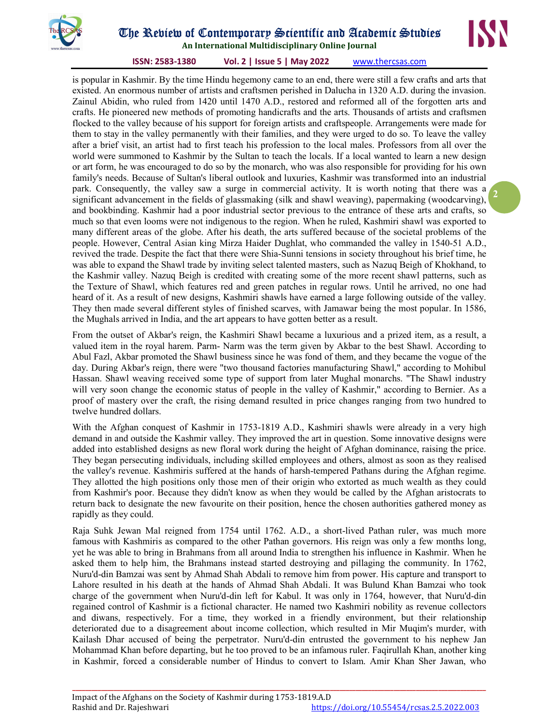

# The Review of Contemporary Scientific and Academic Studies

An International Multidisciplinary Online Journal



#### ISSN: 2583-1380 Vol. 2 | Issue 5 | May 2022 www.thercsas.com

is popular in Kashmir. By the time Hindu hegemony came to an end, there were still a few crafts and arts that existed. An enormous number of artists and craftsmen perished in Dalucha in 1320 A.D. during the invasion. Zainul Abidin, who ruled from 1420 until 1470 A.D., restored and reformed all of the forgotten arts and crafts. He pioneered new methods of promoting handicrafts and the arts. Thousands of artists and craftsmen flocked to the valley because of his support for foreign artists and craftspeople. Arrangements were made for them to stay in the valley permanently with their families, and they were urged to do so. To leave the valley after a brief visit, an artist had to first teach his profession to the local males. Professors from all over the world were summoned to Kashmir by the Sultan to teach the locals. If a local wanted to learn a new design or art form, he was encouraged to do so by the monarch, who was also responsible for providing for his own family's needs. Because of Sultan's liberal outlook and luxuries, Kashmir was transformed into an industrial park. Consequently, the valley saw a surge in commercial activity. It is worth noting that there was a significant advancement in the fields of glassmaking (silk and shawl weaving), papermaking (woodcarving), and bookbinding. Kashmir had a poor industrial sector previous to the entrance of these arts and crafts, so much so that even looms were not indigenous to the region. When he ruled, Kashmiri shawl was exported to many different areas of the globe. After his death, the arts suffered because of the societal problems of the people. However, Central Asian king Mirza Haider Dughlat, who commanded the valley in 1540-51 A.D., revived the trade. Despite the fact that there were Shia-Sunni tensions in society throughout his brief time, he was able to expand the Shawl trade by inviting select talented masters, such as Nazuq Beigh of Khokhand, to the Kashmir valley. Nazuq Beigh is credited with creating some of the more recent shawl patterns, such as the Texture of Shawl, which features red and green patches in regular rows. Until he arrived, no one had heard of it. As a result of new designs, Kashmiri shawls have earned a large following outside of the valley. They then made several different styles of finished scarves, with Jamawar being the most popular. In 1586, the Mughals arrived in India, and the art appears to have gotten better as a result.

From the outset of Akbar's reign, the Kashmiri Shawl became a luxurious and a prized item, as a result, a valued item in the royal harem. Parm- Narm was the term given by Akbar to the best Shawl. According to Abul Fazl, Akbar promoted the Shawl business since he was fond of them, and they became the vogue of the day. During Akbar's reign, there were "two thousand factories manufacturing Shawl," according to Mohibul Hassan. Shawl weaving received some type of support from later Mughal monarchs. "The Shawl industry will very soon change the economic status of people in the valley of Kashmir," according to Bernier. As a proof of mastery over the craft, the rising demand resulted in price changes ranging from two hundred to twelve hundred dollars.

With the Afghan conquest of Kashmir in 1753-1819 A.D., Kashmiri shawls were already in a very high demand in and outside the Kashmir valley. They improved the art in question. Some innovative designs were added into established designs as new floral work during the height of Afghan dominance, raising the price. They began persecuting individuals, including skilled employees and others, almost as soon as they realised the valley's revenue. Kashmiris suffered at the hands of harsh-tempered Pathans during the Afghan regime. They allotted the high positions only those men of their origin who extorted as much wealth as they could from Kashmir's poor. Because they didn't know as when they would be called by the Afghan aristocrats to return back to designate the new favourite on their position, hence the chosen authorities gathered money as rapidly as they could.

Raja Suhk Jewan Mal reigned from 1754 until 1762. A.D., a short-lived Pathan ruler, was much more famous with Kashmiris as compared to the other Pathan governors. His reign was only a few months long, yet he was able to bring in Brahmans from all around India to strengthen his influence in Kashmir. When he asked them to help him, the Brahmans instead started destroying and pillaging the community. In 1762, Nuru'd-din Bamzai was sent by Ahmad Shah Abdali to remove him from power. His capture and transport to Lahore resulted in his death at the hands of Ahmad Shah Abdali. It was Bulund Khan Bamzai who took charge of the government when Nuru'd-din left for Kabul. It was only in 1764, however, that Nuru'd-din regained control of Kashmir is a fictional character. He named two Kashmiri nobility as revenue collectors and diwans, respectively. For a time, they worked in a friendly environment, but their relationship deteriorated due to a disagreement about income collection, which resulted in Mir Muqim's murder, with Kailash Dhar accused of being the perpetrator. Nuru'd-din entrusted the government to his nephew Jan Mohammad Khan before departing, but he too proved to be an infamous ruler. Faqirullah Khan, another king in Kashmir, forced a considerable number of Hindus to convert to Islam. Amir Khan Sher Jawan, who

2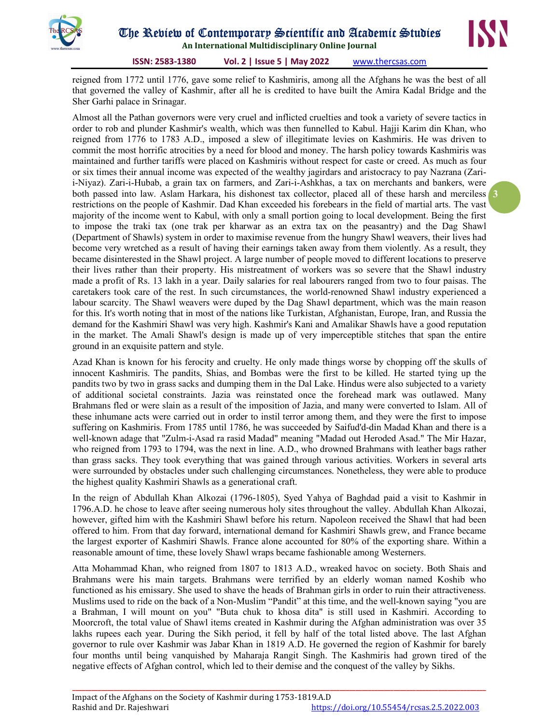

## The Review of Contemporary Scientific and Academic Studies

An International Multidisciplinary Online Journal



ISSN: 2583-1380 Vol. 2 | Issue 5 | May 2022 www.thercsas.com

reigned from 1772 until 1776, gave some relief to Kashmiris, among all the Afghans he was the best of all that governed the valley of Kashmir, after all he is credited to have built the Amira Kadal Bridge and the Sher Garhi palace in Srinagar.

both passed into law. Aslam Harkara, his dishonest tax collector, placed all of these harsh and merciless 3 Almost all the Pathan governors were very cruel and inflicted cruelties and took a variety of severe tactics in order to rob and plunder Kashmir's wealth, which was then funnelled to Kabul. Hajji Karim din Khan, who reigned from 1776 to 1783 A.D., imposed a slew of illegitimate levies on Kashmiris. He was driven to commit the most horrific atrocities by a need for blood and money. The harsh policy towards Kashmiris was maintained and further tariffs were placed on Kashmiris without respect for caste or creed. As much as four or six times their annual income was expected of the wealthy jagirdars and aristocracy to pay Nazrana (Zarii-Niyaz). Zari-i-Hubab, a grain tax on farmers, and Zari-i-Ashkhas, a tax on merchants and bankers, were restrictions on the people of Kashmir. Dad Khan exceeded his forebears in the field of martial arts. The vast majority of the income went to Kabul, with only a small portion going to local development. Being the first to impose the traki tax (one trak per kharwar as an extra tax on the peasantry) and the Dag Shawl (Department of Shawls) system in order to maximise revenue from the hungry Shawl weavers, their lives had become very wretched as a result of having their earnings taken away from them violently. As a result, they became disinterested in the Shawl project. A large number of people moved to different locations to preserve their lives rather than their property. His mistreatment of workers was so severe that the Shawl industry made a profit of Rs. 13 lakh in a year. Daily salaries for real labourers ranged from two to four paisas. The caretakers took care of the rest. In such circumstances, the world-renowned Shawl industry experienced a labour scarcity. The Shawl weavers were duped by the Dag Shawl department, which was the main reason for this. It's worth noting that in most of the nations like Turkistan, Afghanistan, Europe, Iran, and Russia the demand for the Kashmiri Shawl was very high. Kashmir's Kani and Amalikar Shawls have a good reputation in the market. The Amali Shawl's design is made up of very imperceptible stitches that span the entire ground in an exquisite pattern and style.

Azad Khan is known for his ferocity and cruelty. He only made things worse by chopping off the skulls of innocent Kashmiris. The pandits, Shias, and Bombas were the first to be killed. He started tying up the pandits two by two in grass sacks and dumping them in the Dal Lake. Hindus were also subjected to a variety of additional societal constraints. Jazia was reinstated once the forehead mark was outlawed. Many Brahmans fled or were slain as a result of the imposition of Jazia, and many were converted to Islam. All of these inhumane acts were carried out in order to instil terror among them, and they were the first to impose suffering on Kashmiris. From 1785 until 1786, he was succeeded by Saifud'd-din Madad Khan and there is a well-known adage that "Zulm-i-Asad ra rasid Madad" meaning "Madad out Heroded Asad." The Mir Hazar, who reigned from 1793 to 1794, was the next in line. A.D., who drowned Brahmans with leather bags rather than grass sacks. They took everything that was gained through various activities. Workers in several arts were surrounded by obstacles under such challenging circumstances. Nonetheless, they were able to produce the highest quality Kashmiri Shawls as a generational craft.

In the reign of Abdullah Khan Alkozai (1796-1805), Syed Yahya of Baghdad paid a visit to Kashmir in 1796.A.D. he chose to leave after seeing numerous holy sites throughout the valley. Abdullah Khan Alkozai, however, gifted him with the Kashmiri Shawl before his return. Napoleon received the Shawl that had been offered to him. From that day forward, international demand for Kashmiri Shawls grew, and France became the largest exporter of Kashmiri Shawls. France alone accounted for 80% of the exporting share. Within a reasonable amount of time, these lovely Shawl wraps became fashionable among Westerners.

Atta Mohammad Khan, who reigned from 1807 to 1813 A.D., wreaked havoc on society. Both Shais and Brahmans were his main targets. Brahmans were terrified by an elderly woman named Koshib who functioned as his emissary. She used to shave the heads of Brahman girls in order to ruin their attractiveness. Muslims used to ride on the back of a Non-Muslim "Pandit" at this time, and the well-known saying "you are a Brahman, I will mount on you" "Buta chuk to khosa dita" is still used in Kashmiri. According to Moorcroft, the total value of Shawl items created in Kashmir during the Afghan administration was over 35 lakhs rupees each year. During the Sikh period, it fell by half of the total listed above. The last Afghan governor to rule over Kashmir was Jabar Khan in 1819 A.D. He governed the region of Kashmir for barely four months until being vanquished by Maharaja Rangit Singh. The Kashmiris had grown tired of the negative effects of Afghan control, which led to their demise and the conquest of the valley by Sikhs.